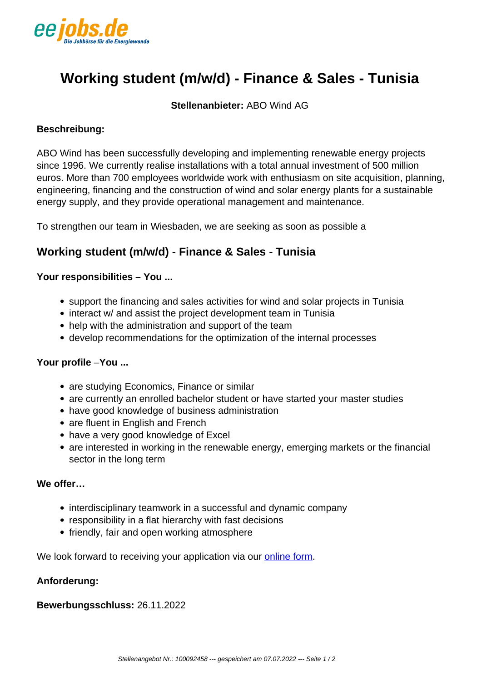

# **Working student (m/w/d) - Finance & Sales - Tunisia**

**Stellenanbieter:** ABO Wind AG

## **Beschreibung:**

ABO Wind has been successfully developing and implementing renewable energy projects since 1996. We currently realise installations with a total annual investment of 500 million euros. More than 700 employees worldwide work with enthusiasm on site acquisition, planning, engineering, financing and the construction of wind and solar energy plants for a sustainable energy supply, and they provide operational management and maintenance.

To strengthen our team in Wiesbaden, we are seeking as soon as possible a

# **Working student (m/w/d) - Finance & Sales - Tunisia**

## **Your responsibilities – You ...**

- support the financing and sales activities for wind and solar projects in Tunisia
- interact w/ and assist the project development team in Tunisia
- help with the administration and support of the team
- develop recommendations for the optimization of the internal processes

#### **Your profile** –**You ...**

- are studying Economics, Finance or similar
- are currently an enrolled bachelor student or have started your master studies
- have good knowledge of business administration
- are fluent in English and French
- have a very good knowledge of Excel
- are interested in working in the renewable energy, emerging markets or the financial sector in the long term

## **We offer…**

- interdisciplinary teamwork in a successful and dynamic company
- responsibility in a flat hierarchy with fast decisions
- friendly, fair and open working atmosphere

We look forward to receiving your application via our [online form](https://abowind.pi-asp.de/bewerber-web/?xsrf=&company=01-FIRMA-ID&tenant=#position,id=8eee834d-a419-4658-9493-9e26ae2cafd1,popup=y).

#### **Anforderung:**

**Bewerbungsschluss:** 26.11.2022